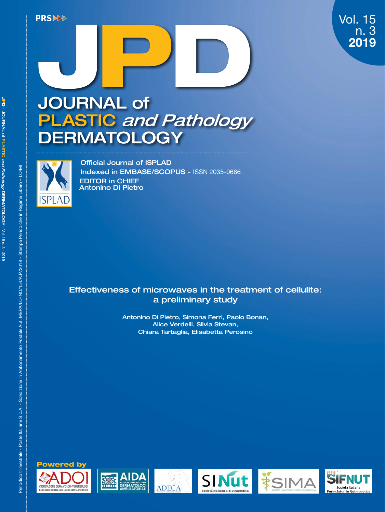## Vol. 15 n. 3 2019

# PRSIDE<br>
<br>
IOLIDN JOURNAL of PLASTIC and Pathology P D **DERMATOLOGY**



EDITOR in CHIEF Antonino Di Pietro Official Journal of ISPLAD Indexed in EMBASE/SCOPUS - ISSN 2035-0686

## Effectiveness of microwaves in the treatment of cellulite: a preliminary study

Antonino Di Pietro, Simona Ferri, Paolo Bonan, Alice Verdelli, Silvia Stevan, Chiara Tartaglia, Elisabetta Perosino











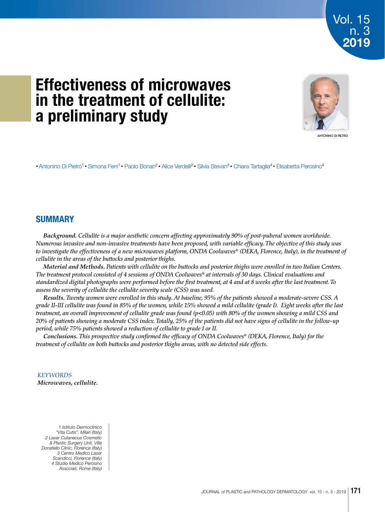## **Effectiveness of microwaves in the treatment of cellulite: a preliminary study**



Vol. 15

n. 3 2019

ANTONINO DI PIETRO

• Antonino Di Pietro<sup>1</sup> • Simona Ferri<sup>1</sup> • Paolo Bonan<sup>2</sup> • Alice Verdelli<sup>2</sup> • Silvia Stevan<sup>3</sup> • Chiara Tartaglia<sup>4</sup> • Elisabetta Perosino<sup>4</sup>

## **SUMMARY**

*Background. Cellulite is a major aesthetic concern affecting approximately 90% of post-puberal women worldwide. Numerous invasive and non-invasive treatments have been proposed, with variable efficacy. The objective of this study was to investigate the effectiveness of a new microwaves platform, ONDA Coolwaves® (DEKA, Florence, Italy), in the treatment of cellulite in the areas of the buttocks and posterior thighs.*

*Material and Methods. Patients with cellulite on the buttocks and posterior thighs were enrolled in two Italian Centers. The treatment protocol consisted of 4 sessions of ONDA Coolwaves® at intervals of 30 days. Clinical evaluations and standardized digital photographs were performed before the first treatment, at 4 and at 8 weeks after the last treatment. To assess the severity of cellulite the cellulite severity scale (CSS) was used.*

*Results. Twenty women were enrolled in this study. At baseline, 95% of the patients showed a moderate-severe CSS. A grade II-III cellulite was found in 85% of the women, while 15% showed a mild cellulite (grade I). Eight weeks after the last treatment, an overall improvement of cellulite grade was found (p<0.05) with 80% of the women showing a mild CSS and 20% of patients showing a moderate CSS index. Totally, 25% of the patients did not have signs of cellulite in the follow-up period, while 75% patients showed a reduction of cellulite to grade I or II.*

*Conclusions. This prospective study confirmed the efficacy of ONDA Coolwaves® (DEKA, Florence, Italy) for the treatment of cellulite on both buttocks and posterior thighs areas, with no detected side effects.*

### *KEYWORDS*

*Microwaves, cellulite.*

*1 Istituto Dermoclinico "Vita Cutis", Milan (Italy) 2 Laser Cutaneous Cosmetic & Plastic Surgery Unit, Villa Donatello Clinic, Florence (Italy) 3 Centro Medico Laser Scandicci, Florence (Italy) 4 Studio Medico Perosino Associati, Rome (Italy)*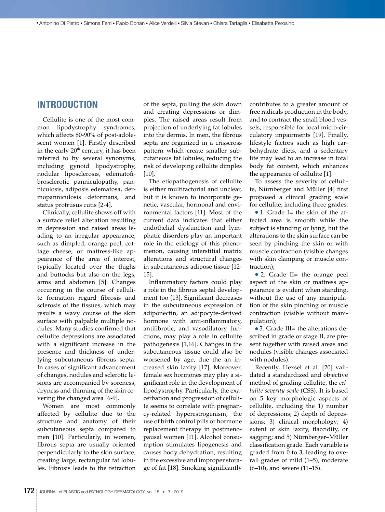## **INTRODUCTION**

Cellulite is one of the most common lipodystrophy syndromes, which affects 80-90% of post-adolescent women [1]. Firstly described in the early  $20<sup>th</sup>$  century, it has been referred to by several synonyms, including gynoid lipodystrophy, nodular liposclerosis, edematofibrosclerotic panniculopathy, panniculosis, adiposis edematosa, dermopanniculosis deformans, and status protrusus cutis [2-4].

Clinically, cellulite shows off with a surface relief alteration resulting in depression and raised areas leading to an irregular appearance, such as dimpled, orange peel, cottage cheese, or mattress-like appearance of the area of interest, typically located over the thighs and buttocks but also on the legs, arms and abdomen [5]. Changes occurring in the course of cellulite formation regard fibrosis and sclerosis of the tissues, which may results a wavy course of the skin surface with palpable multiple nodules. Many studies confirmed that cellulite depressions are associated with a significant increase in the presence and thickness of underlying subcutaneous fibrous septa. In cases of significant advancement of changes, nodules and sclerotic lesions are accompanied by soreness, dryness and thinning of the skin covering the changed area [6-9].

Women are most commonly affected by cellulite due to the structure and anatomy of their subcutaneous septa compared to men [10]. Particularly, in women, fibrous septa are usually oriented perpendicularly to the skin surface, creating large, rectangular fat lobules. Fibrosis leads to the retraction

of the septa, pulling the skin down and creating depressions or dimples. The raised areas result from projection of underlying fat lobules into the dermis. In men, the fibrous septa are organized in a crisscross pattern which create smaller subcutaneous fat lobules, reducing the risk of developing cellulite dimples [10].

The etiopathogenesis of cellulite is either multifactorial and unclear, but it is known to incorporate genetic, vascular, hormonal and environmental factors [11]. Most of the current data indicates that either endothelial dysfunction and lymphatic disorders play an important role in the etiology of this phenomenon, causing interstitial matrix alterations and structural changes in subcutaneous adipose tissue [12- 15].

Inflammatory factors could play a role in the fibrous septal development too [13]. Significant decreases in the subcutaneous expression of adiponectin, an adipocyte-derived hormone with anti-inflammatory, antifibrotic, and vasodilatory functions, may play a role in cellulite pathogenesis [1,16]. Changes in the subcutaneous tissue could also be worsened by age, due the an increased skin laxity [17]. Moreover, female sex hormones may play a significant role in the development of lipodystrophy. Particularly, the exacerbation and progression of cellulite seems to correlate with pregnancy-related hyperestrogenism, the use of birth control pills or hormone replacement therapy in postmenopausal women [11]. Alcohol consumption stimulates lipogenesis and causes body dehydration, resulting in the excessive and improper storage of fat [18]. Smoking significantly

contributes to a greater amount of free radicals production in the body, and to contract the small blood vessels, responsible for local micro-circulatory impairments [19]. Finally, lifestyle factors such as high carbohydrate diets, and a sedentary life may lead to an increase in total body fat content, which enhances the appearance of cellulite [1].

To assess the severity of cellulite, Nürnberger and Müller [4] first proposed a clinical grading scale for cellulite, including three grades:

 $\bullet$  1. Grade I= the skin of the affected area is smooth while the subject is standing or lying, but the alterations to the skin surface can be seen by pinching the skin or with muscle contraction (visible changes with skin clamping or muscle contraction);

• 2. Grade II= the orange peel aspect of the skin or mattress appearance is evident when standing, without the use of any manipulation of the skin pinching or muscle contraction (visible without manipulation);

● 3. Grade III= the alterations described in grade or stage II, are present together with raised areas and nodules (visible changes associated with nodules).

Recently, Hexsel et al. [20] validated a standardized and objective method of grading cellulite, the *cellulite severity scale* (CSS). It is based on 5 key morphologic aspects of cellulite, including the 1) number of depressions; 2) depth of depressions; 3) clinical morphology; 4) extent of skin laxity, flaccidity, or sagging; and 5) Nürnberger–Müller classification grade. Each variable is graded from 0 to 3, leading to overall grades of mild (1–5), moderate (6–10), and severe (11–15).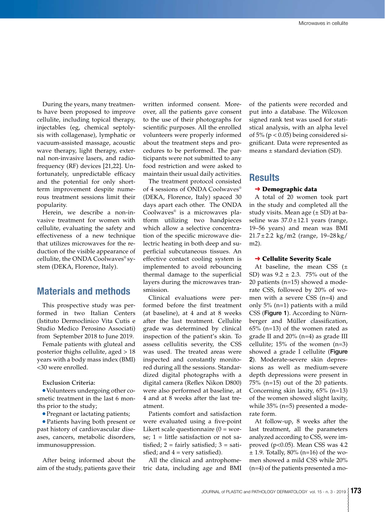During the years, many treatments have been proposed to improve cellulite, including topical therapy, injectables (eg, chemical septolysis with collagenase), lymphatic or vacuum-assisted massage, acoustic wave therapy, light therapy, external non-invasive lasers, and radiofrequency (RF) devices [21,22]. Unfortunately, unpredictable efficacy and the potential for only shortterm improvement despite numerous treatment sessions limit their popularity.

Herein, we describe a non-invasive treatment for women with cellulite, evaluating the safety and effectiveness of a new technique that utilizes microwaves for the reduction of the visible appearance of cellulite, the ONDA Coolwaves® system (DEKA, Florence, Italy).

## **Materials and methods**

This prospective study was performed in two Italian Centers (Istituto Dermoclinico Vita Cutis e Studio Medico Perosino Associati) from September 2018 to June 2019.

Female patients with gluteal and posterior thighs cellulite, aged > 18 years with a body mass index (BMI) <30 were enrolled.

Exclusion Criteria:

● Volunteers undergoing other cosmetic treatment in the last 6 months prior to the study;

● Pregnant or lactating patients;

● Patients having both present or past history of cardiovascular diseases, cancers, metabolic disorders, immunosuppression.

After being informed about the aim of the study, patients gave their written informed consent. Moreover, all the patients gave consent to the use of their photographs for scientific purposes. All the enrolled volunteers were properly informed about the treatment steps and procedures to be performed. The participants were not submitted to any food restriction and were asked to maintain their usual daily activities.

The treatment protocol consisted of 4 sessions of ONDA Coolwaves® (DEKA, Florence, Italy) spaced 30 days apart each other. The ONDA Coolwaves® is a microwaves platform utilizing two handpieces which allow a selective concentration of the specific microwave dielectric heating in both deep and superficial subcutaneous tissues. An effective contact cooling system is implemented to avoid rebouncing thermal damage to the superficial layers during the microwaves transmission.

Clinical evaluations were performed before the first treatment (at baseline), at 4 and at 8 weeks after the last treatment. Cellulite grade was determined by clinical inspection of the patient's skin. To assess cellulitis severity, the CSS was used. The treated areas were inspected and constantly monitored during all the sessions. Standardized digital photographs with a digital camera (Reflex Nikon D800) were also performed at baseline, at 4 and at 8 weeks after the last treatment.

Patients comfort and satisfaction were evaluated using a five-point Likert scale questionnaire  $(0 = wor$ se; 1 = little satisfaction or not satisfied;  $2 = \text{fairly satisfied}$ ;  $3 = \text{sati}$ sfied; and  $4 = \text{very satisfied}$ .

All the clinical and antrophometric data, including age and BMI

of the patients were recorded and put into a database. The Wilcoxon signed rank test was used for statistical analysis, with an alpha level of  $5\%$  (p < 0.05) being considered significant. Data were represented as means ± standard deviation (SD).

## **Results**

#### **→ Demographic data**

A total of 20 women took part in the study and completed all the study visits. Mean age  $(\pm SD)$  at baseline was  $37.0 \pm 12.1$  years (range, 19–56 years) and mean was BMI 21.7±2.2 kg/m2 (range, 19–28 kg/ m2).

#### **→ Cellulite Severity Scale**

At baseline, the mean CSS  $(\pm)$ SD) was  $9.2 \pm 2.3$ . 75% out of the 20 patients (n=15) showed a moderate CSS, followed by 20% of women with a severe CSS (n=4) and only 5% (n=1) patients with a mild CSS (Figure 1). According to Nürnberger and Müller classification, 65% (n=13) of the women rated as grade II and 20% (n=4) as grade III cellulite; 15% of the women (n=3) showed a grade I cellulite (Figure 2). Moderate-severe skin depressions as well as medium-severe depth depressions were present in 75% (n=15) out of the 20 patients. Concerning skin laxity, 65% (n=13) of the women showed slight laxity, while 35% (n=5) presented a moderate form.

At follow-up, 8 weeks after the last treatment, all the parameters analyzed according to CSS, were improved (p<0.05). Mean CSS was 4.2  $\pm$  1.9. Totally, 80% (n=16) of the women showed a mild CSS while 20% (n=4) of the patients presented a mo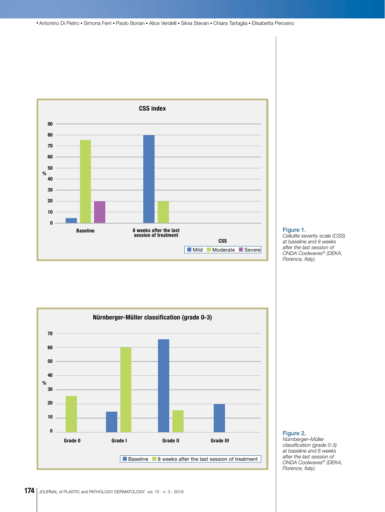● Antonino Di Pietro ● Simona Ferri ● Paolo Bonan ● Alice Verdelli ● Silvia Stevan ● Chiara Tartaglia ● Elisabetta Perosino



#### Figure 1.

*Cellulite severity scale (CSS) at baseline and 8 weeks after the last session of ONDA Coolwaves® (DEKA, Florence, Italy).*



#### Figure 2.

*Nürnberger–Müller classification (grade 0-3) at baseline and 8 weeks after the last session of ONDA Coolwaves® (DEKA, Florence, Italy).*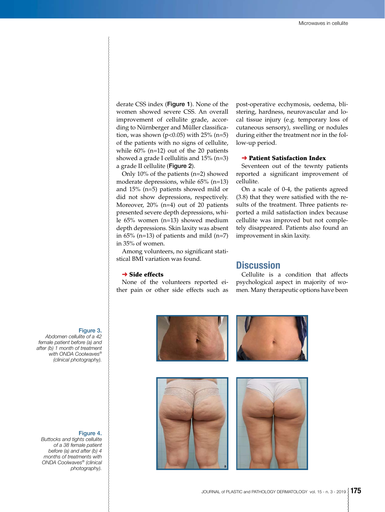derate CSS index (Figure 1). None of the women showed severe CSS. An overall improvement of cellulite grade, according to Nürnberger and Müller classification, was shown ( $p < 0.05$ ) with 25% ( $n = 5$ ) of the patients with no signs of cellulite, while 60% (n=12) out of the 20 patients showed a grade I cellulitis and 15% (n=3) a grade II cellulite (Figure 2).

Only 10% of the patients (n=2) showed moderate depressions, while 65% (n=13) and 15% (n=5) patients showed mild or did not show depressions, respectively. Moreover, 20% (n=4) out of 20 patients presented severe depth depressions, while 65% women (n=13) showed medium depth depressions. Skin laxity was absent in  $65\%$  (n=13) of patients and mild (n=7) in 35% of women.

Among volunteers, no significant statistical BMI variation was found.

#### $\rightarrow$  Side effects

None of the volunteers reported either pain or other side effects such as post-operative ecchymosis, oedema, blistering, hardness, neurovascular and local tissue injury (e.g. temporary loss of cutaneous sensory), swelling or nodules during either the treatment nor in the follow-up period.

#### **→ Patient Satisfaction Index**

Seventeen out of the tewnty patients reported a significant improvement of cellulite.

On a scale of 0-4, the patients agreed (3.8) that they were satisfied with the results of the treatment. Three patients reported a mild satisfaction index because cellulite was improved but not completely disappeared. Patients also found an improvement in skin laxity.

## **Discussion**

Cellulite is a condition that affects psychological aspect in majority of women. Many therapeutic options have been





## Figure 3.

*Abdomen cellulite of a 42 female patient before (a) and after (b) 1 month of treatment with ONDA Coolwaves® (clinical photography).*

#### Figure 4.

*Buttocks and tights cellulite of a 38 female patient before (a) and after (b) 4 months of treatments with ONDA Coolwaves® (clinical photography).*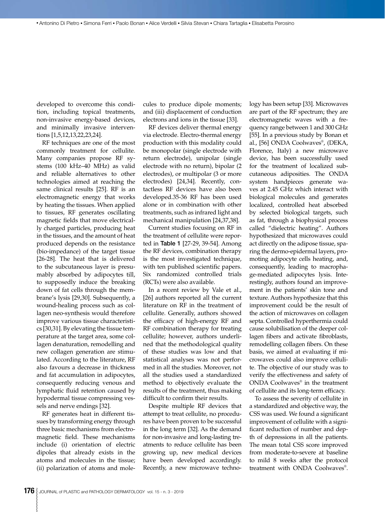developed to overcome this condition, including topical treatments, non-invasive energy-based devices, and minimally invasive interventions [1,5,12,13,22,23,24].

RF techniques are one of the most commonly treatment for cellulite. Many companies propose RF systems (100 kHz–40 MHz) as valid and reliable alternatives to other technologies aimed at reaching the same clinical results [25]. RF is an electromagnetic energy that works by heating the tissues. When applied to tissues, RF generates oscillating magnetic fields that move electrically charged particles, producing heat in the tissues, and the amount of heat produced depends on the resistance (bio-impedance) of the target tissue [26-28]. The heat that is delivered to the subcutaneous layer is presumably absorbed by adipocytes till, to supposedly induce the breaking down of fat cells through the membrane's lysis [29,30]. Subsequently, a wound-healing process such as collagen neo-synthesis would therefore improve various tissue characteristics [30,31]. By elevating the tissue temperature at the target area, some collagen denaturation, remodelling and new collagen generation are stimulated. According to the literature, RF also favours a decrease in thickness and fat accumulation in adipocytes, consequently reducing venous and lymphatic fluid retention caused by hypodermal tissue compressing vessels and nerve endings [32].

RF generates heat in different tissues by transforming energy through three basic mechanisms from electromagnetic field. These mechanisms include (i) orientation of electric dipoles that already exists in the atoms and molecules in the tissue; (ii) polarization of atoms and molecules to produce dipole moments; and (iii) displacement of conduction electrons and ions in the tissue [33].

RF devices deliver thermal energy via electrode. Electro-thermal energy production with this modality could be monopolar (single electrode with return electrode), unipolar (single electrode with no return), bipolar (2 electrodes), or multipolar (3 or more electrodes) [24,34]. Recently, contactless RF devices have also been developed.35-36 RF has been used alone or in combination with other treatments, such as infrared light and mechanical manipulation [24,37,38].

Current studies focusing on RF in the treatment of cellulite were reported in Table 1 [27-29, 39-54]. Among the RF devices, combination therapy is the most investigated technique, with ten published scientific papers. Six randomized controlled trials (RCTs) were also available.

In a recent review by Vale et al., [26] authors reported all the current literature on RF in the treatment of cellulite. Generally, authors showed the efficacy of high-energy RF and RF combination therapy for treating cellulite; however, authors underlined that the methodological quality of these studies was low and that statistical analyses was not performed in all the studies. Moreover, not all the studies used a standardized method to objectively evaluate the results of the treatment, thus making difficult to confirm their results.

Despite multiple RF devices that attempt to treat cellulite, no procedures have been proven to be successful in the long term [32]. As the demand for non-invasive and long-lasting treatments to reduce cellulite has been growing up, new medical devices have been developed accordingly. Recently, a new microwave techno-

logy has been setup [33]. Microwaves are part of the RF spectrum; they are electromagnetic waves with a frequency range between 1 and 300 GHz [55]. In a previous study by Bonan et al., [56] ONDA Coolwaves® , (DEKA, Florence, Italy) a new microwave device, has been successfully used for the treatment of localized subcutaneous adiposities. The ONDA system handpieces generate waves at 2.45 GHz which interact with biological molecules and generates localized, controlled heat absorbed by selected biological targets, such as fat, through a biophysical process called "dielectric heating". Authors hypothesized that microwaves could act directly on the adipose tissue, sparing the dermo-epidermal layers, promoting adipocyte cells heating, and, consequently, leading to macrophage-mediated adipocytes lysis. Interestingly, authors found an improvement in the patients' skin tone and texture. Authors hypothesize that this improvement could be the result of the action of microwaves on collagen septa. Controlled hyperthermia could cause solubilisation of the deeper collagen fibers and activate fibroblasts, remodelling collagen fibers. On these basis, we aimed at evaluating if microwaves could also improve cellulite. The objective of our study was to verify the effectiveness and safety of ONDA Coolwaves® in the treatment of cellulite and its long-term efficacy.

To assess the severity of cellulite in a standardized and objective way, the CSS was used. We found a significant improvement of cellulite with a significant reduction of number and depth of depressions in all the patients. The mean total CSS score improved from moderate-to-severe at baseline to mild 8 weeks after the protocol treatment with ONDA Coolwaves® .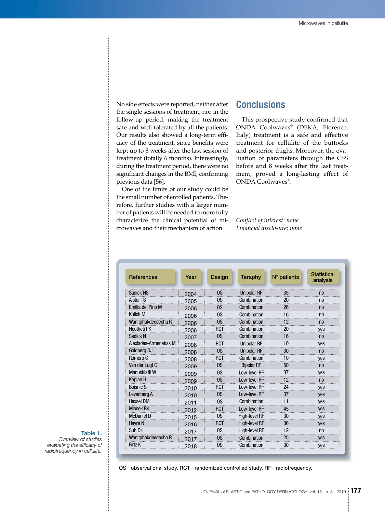No side effects were reported, neither after the single sessions of treatment, nor in the follow-up period, making the treatment safe and well tolerated by all the patients. Our results also showed a long-term efficacy of the treatment, since benefits were kept up to 8 weeks after the last session of treatment (totally 6 months). Interestingly, during the treatment period, there were no significant changes in the BMI, confirming previous data [56].

One of the limits of our study could be the small number of enrolled patients. Therefore, further studies with a larger number of patients will be needed to more fully characterize the clinical potential of microwaves and their mechanism of action.

## **Conclusions**

This prospective study confirmed that ONDA Coolwaves® (DEKA, Florence, Italy) treatment is a safe and effective treatment for cellulite of the buttocks and posterior thighs. Moreover, the evaluation of parameters through the CSS before and 8 weeks after the last treatment, proved a long-lasting effect of ONDA Coolwaves® .

*Conflict of interest: none Financial disclosure: none*

| <b>References</b>     | Year | Design         | <b>Teraphy</b>     | $N^{\circ}$ patients | <b>Statistical</b><br>analysis |
|-----------------------|------|----------------|--------------------|----------------------|--------------------------------|
| Sadick NS             | 2004 | <sub>0</sub> S | <b>Unipolar RF</b> | 35                   | no                             |
| <b>Alster TS</b>      | 2005 | <sub>0</sub> S | Combination        | 20                   | no                             |
| Emilia del Pino M     | 2006 | <sub>0</sub> S | Combination        | 26                   | no                             |
| Kulick M              | 2006 | <sub>0</sub> S | Combination        | 16                   | n <sub>0</sub>                 |
| Wanitphakdeedecha R   | 2006 | <sub>0</sub> S | Combination        | 12                   | no                             |
| Nootheti PK           | 2006 | <b>RCT</b>     | Combination        | 20                   | yes                            |
| Sadick N              | 2007 | <sub>0</sub> S | Combination        | 16                   | n <sub>0</sub>                 |
| Alexiades-Armenakas M | 2008 | <b>RCT</b>     | <b>Unipolar RF</b> | 10                   | yes                            |
| Goldberg DJ           | 2008 | <sub>0</sub> S | <b>Unipolar RF</b> | 30                   | n <sub>0</sub>                 |
| Romero C              | 2008 | <b>RCT</b>     | Combination        | 10                   | yes                            |
| Van der Lugt C        | 2009 | <sub>0</sub> S | <b>Bipolar RF</b>  | 50                   | n <sub>0</sub>                 |
| Manuskiatti W         | 2009 | <sub>0</sub> S | Low-level RF       | 37                   | yes                            |
| Kaplan H              | 2009 | <sub>0</sub> S | Low-level RF       | 12                   | no                             |
| <b>Boisnic S</b>      | 2010 | <b>RCT</b>     | Low-level RF       | 24                   | yes                            |
| Levenberg A           | 2010 | <sub>0</sub> S | Low-level RF       | 37                   | yes                            |
| <b>Hexsel DM</b>      | 2011 | <sub>0</sub> S | Combination        | 11                   | yes                            |
| <b>Mlosek RK</b>      | 2012 | <b>RCT</b>     | Low-level RF       | 45                   | yes                            |
| <b>McDaniel D</b>     | 2015 | <sub>0</sub> S | High-level RF      | 30                   | yes                            |
| Hayre N               | 2016 | RCT            | High-level RF      | 36                   | yes                            |
| Suh DH                | 2017 | <sub>0</sub> S | High-level RF      | 12                   | n <sub>0</sub>                 |
| Wanitphakdeedecha R   | 2017 | <sub>0</sub> S | Combination        | 25                   | yes                            |
| Firtz K               | 2018 | 0S             | Combination        | 30                   | yes                            |

## Table 1.

*Overview of studies evaluating the efficacy of radiofrequency in cellulite.*

OS= observational study, RCT= randomized controlled study, RF= radiofrequency.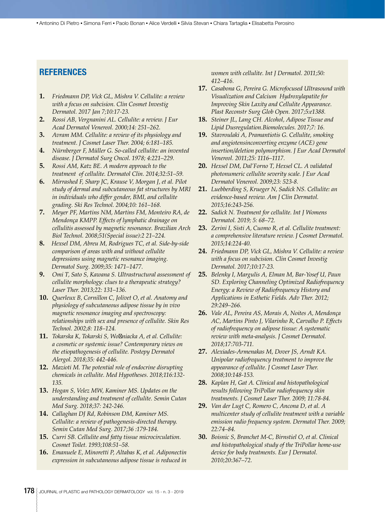## **REFERENCES**

- **1.** *Friedmann DP, Vick GL, Mishra V. Cellulite: a review with a focus on subcision. Clin Cosmet Investig Dermatol. 2017 Jan 7;10:17-23.*
- **2.** *Rossi AB, Vergnanini AL. Cellulite: a review. J Eur Acad Dermatol Venereol. 2000;14: 251–262.*
- **3.** *Avram MM. Cellulite: a review of its physiology and treatment. J Cosmet Laser Ther. 2004; 6:181–185.*
- **4.** *Nürnberger F, Müller G. So-called cellulite: an invented disease. J Dermatol Surg Oncol. 1978; 4:221–229.*
- **5.** *Rossi AM, Katz BE. A modern approach to the treatment of cellulite. Dermatol Clin. 2014;32:51–59.*
- **6.** *Mirrashed F, Sharp JC, Krause V, Morgan J, et al. Pilot study of dermal and subcutaneous fat structures by MRI in individuals who differ gender, BMI, and cellulite grading. Ski Res Technol. 2004;10: 161–168.*
- **7.** *Meyer PF, Martins NM, Martins FM, Monteiro RA, de Mendonça KMPP. Effects of lymphatic drainage on cellulitis assessed by magnetic resonance. Brazilian Arch Biol Technol. 2008;51(Special issue):2 21–224.*
- **8.** *Hexsel DM, Abreu M, Rodrigues TC, et al. Side-by-side comparison of areas with and without cellulite depressions using magnetic resonance imaging. Dermatol Surg. 2009;35: 1471–1477.*
- **9.** *Omi T, Sato S, Kawana S. Ultrastructural assessment of cellulite morphology: clues to a therapeutic strategy? Laser Ther. 2013;22: 131–136.*
- **10.** *Querleux B, Cornillon C, Jolivet O, et al. Anatomy and physiology of subcutaneous adipose tissue by in vivo magnetic resonance imaging and spectroscopy: relationships with sex and presence of cellulite. Skin Res Technol. 2002;8: 118–124.*
- **11.** *Tokarska K, Tokarski S, Wo niacka A, et al. Cellulite: a cosmetic or systemic issue? Contemporary views on the etiopathogenesis of cellulite. Postepy Dermatol Alergol. 2018;35: 442-446.*
- **12.** *Mazioti M. The potential role of endocrine disrupting chemicals in cellulite. Med Hypotheses. 2018;116:132- 135.*
- **13.** *Hogan S, Velez MW, Kaminer MS. Updates on the understanding and treatment of cellulite. Semin Cutan Med Surg. 2018;37: 242-246.*
- **14.** *Callaghan DJ Rd, Robinson DM, Kaminer MS. Cellulite: a review of pathogenesis-directed therapy. Semin Cutan Med Surg. 2017;36 :179-184.*
- **15.** *Curri SB. Cellulite and fatty tissue microcirculation. Cosmet Toilet. 1993;108:51–58.*
- **16.** *Emanuele E, Minoretti P, Altabas K, et al. Adiponectin expression in subcutaneous adipose tissue is reduced in*

*women with cellulite. Int J Dermatol. 2011;50: 412–416.*

- **17.** *Casabona G, Pereira G. Microfocused Ultrasound with Visualization and Calcium Hydroxylapatite for Improving Skin Laxity and Cellulite Appearance. Plast Reconstr Surg Glob Open. 2017;5:e1388.*
- **18.** *Steiner JL, Lang CH. Alcohol, Adipose Tissue and Lipid Dusregulation.Biomolecules. 2017;7: 16.*
- **19.** *Stavroulaki A, Pramantiotis G. Cellulite, smoking and angiotensinconverting enzyme (ACE) gene insertion/deletion polymorphism. J Eur Acad Dermatol Venereol. 2011;25: 1116–1117.*
- **20.** *Hexsel DM, Dal'Forno T, Hexsel CL. A validated photonumeric cellulite severity scale. J Eur Acad Dermatol Venereol. 2009;23: 523-8.*
- **21.** *Luebberding S, Krueger N, Sadick NS. Cellulite: an evidence-based review. Am J Clin Dermatol. 2015;16:243-256.*
- **22.** *Sadick N. Treatment for cellulite. Int J Womens Dermatol. 2019; 5: 68–72.*
- **23.** *Zerini I, Sisti A, Cuomo R, et al. Cellulite treatment: a comprehensive literature review. J Cosmet Dermatol. 2015;14:224-40.*
- **24.** *Friedmann DP, Vick GL, Mishra V. Cellulite: a review with a focus on subcision. Clin Cosmet Investig Dermatol. 2017;10:17-23.*
- **25.** *Belenky I, Margulis A, Elman M, Bar-Yosef U, Paun SD. Exploring Channeling Optimized Radiofrequency Energy: a Review of Radiofrequency History and Applications in Esthetic Fields. Adv Ther. 2012; 29:249–266.*
- **26.** *Vale AL, Pereira AS, Morais A, Noites A, Mendonça AC, Martins Pinto J, Vilarinho R, Carvalho P. Effects of radiofrequency on adipose tissue: A systematic review with meta-analysis. J Cosmet Dermatol. 2018;17:703-711.*
- **27.** *Alexiades-Armenakas M, Dover JS, Arndt KA. Unipolar radiofrequency treatment to improve the appearance of cellulite. J Cosmet Laser Ther. 2008;10:148-153.*
- **28.** *Kaplan H, Gat A. Clinical and histopathological results following TriPollar radiofrequency skin treatments. J Cosmet Laser Ther. 2009; 11:78-84.*
- **29.** *Van der Lugt C, Romero C, Ancona D, et al. A multicenter study of cellulite treatment with a variable emission radio frequency system. Dermatol Ther. 2009; 22:74–84.*
- **30.** *Boisnic S, Branchet M-C, Birnstiel O, et al. Clinical and histopathological study of the TriPollar home-use device for body treatments. Eur J Dermatol. 2010;20:367–72.*